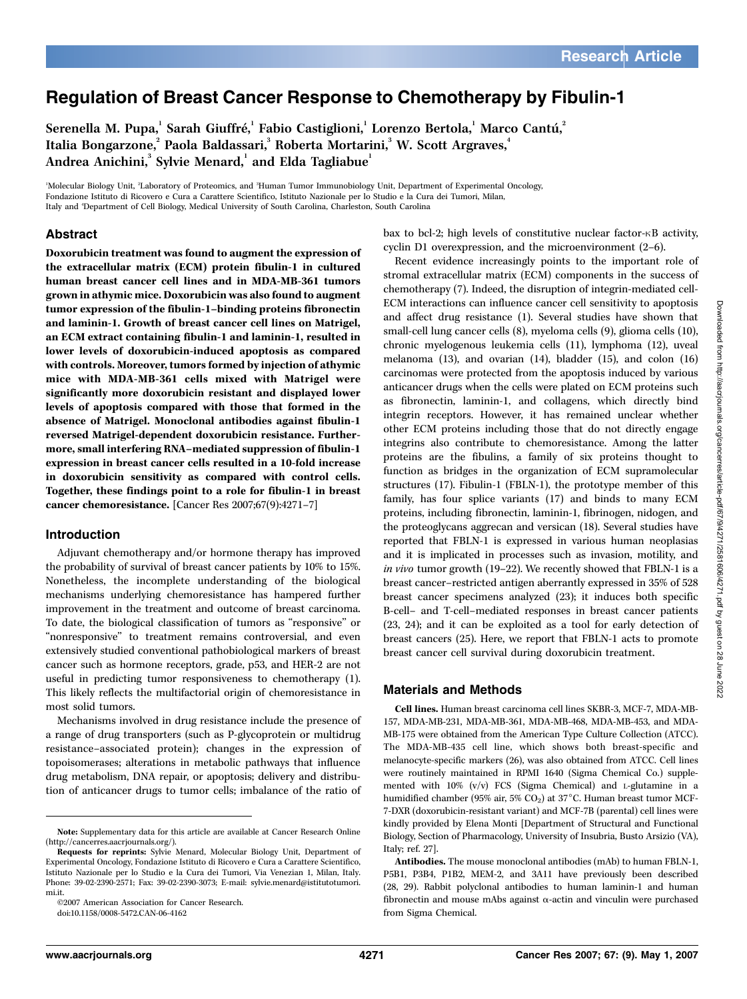# Regulation of Breast Cancer Response to Chemotherapy by Fibulin-1

Serenella M. Pupa, $^{\rm l}$  Sarah Giuffré, $^{\rm l}$  Fabio Castiglioni, $^{\rm l}$  Lorenzo Bertola, $^{\rm l}$  Marco Cantú, $^{\rm l}$ Italia Bongarzone,<sup>2</sup> Paola Baldassari,<sup>3</sup> Roberta Mortarini,<sup>3</sup> W. Scott Argraves,<sup>4</sup> Andrea Anichini, $^{\rm 3}$  Sylvie Menard, $^{\rm 1}$  and Elda Tagliabue $^{\rm 1}$ 

'Molecular Biology Unit, <sup>2</sup>Laboratory of Proteomics, and <sup>3</sup>Human Tumor Immunobiology Unit, Department of Experimental Oncology, Fondazione Istituto di Ricovero e Cura a Carattere Scientifico, Istituto Nazionale per lo Studio e la Cura dei Tumori, Milan, Italy and <sup>4</sup> Department of Cell Biology, Medical University of South Carolina, Charleston, South Carolina

### Abstract

Doxorubicin treatment was found to augment the expression of the extracellular matrix (ECM) protein fibulin-1 in cultured human breast cancer cell lines and in MDA-MB-361 tumors grown in athymic mice. Doxorubicin was also found to augment tumor expression of the fibulin-1–binding proteins fibronectin and laminin-1. Growth of breast cancer cell lines on Matrigel, an ECM extract containing fibulin-1 and laminin-1, resulted in lower levels of doxorubicin-induced apoptosis as compared with controls. Moreover, tumors formed by injection of athymic mice with MDA-MB-361 cells mixed with Matrigel were significantly more doxorubicin resistant and displayed lower levels of apoptosis compared with those that formed in the absence of Matrigel. Monoclonal antibodies against fibulin-1 reversed Matrigel-dependent doxorubicin resistance. Furthermore, small interfering RNA–mediated suppression of fibulin-1 expression in breast cancer cells resulted in a 10-fold increase in doxorubicin sensitivity as compared with control cells. Together, these findings point to a role for fibulin-1 in breast cancer chemoresistance. [Cancer Res 2007;67(9):4271–7]

#### Introduction

Adjuvant chemotherapy and/or hormone therapy has improved the probability of survival of breast cancer patients by 10% to 15%. Nonetheless, the incomplete understanding of the biological mechanisms underlying chemoresistance has hampered further improvement in the treatment and outcome of breast carcinoma. To date, the biological classification of tumors as ''responsive'' or "nonresponsive" to treatment remains controversial, and even extensively studied conventional pathobiological markers of breast cancer such as hormone receptors, grade, p53, and HER-2 are not useful in predicting tumor responsiveness to chemotherapy (1). This likely reflects the multifactorial origin of chemoresistance in most solid tumors.

Mechanisms involved in drug resistance include the presence of a range of drug transporters (such as P-glycoprotein or multidrug resistance–associated protein); changes in the expression of topoisomerases; alterations in metabolic pathways that influence drug metabolism, DNA repair, or apoptosis; delivery and distribution of anticancer drugs to tumor cells; imbalance of the ratio of

©2007 American Association for Cancer Research.

doi:10.1158/0008-5472.CAN-06-4162

bax to bcl-2; high levels of constitutive nuclear factor- $\kappa$ B activity, cyclin D1 overexpression, and the microenvironment (2–6).

Recent evidence increasingly points to the important role of stromal extracellular matrix (ECM) components in the success of chemotherapy (7). Indeed, the disruption of integrin-mediated cell-ECM interactions can influence cancer cell sensitivity to apoptosis and affect drug resistance (1). Several studies have shown that small-cell lung cancer cells (8), myeloma cells (9), glioma cells (10), chronic myelogenous leukemia cells (11), lymphoma (12), uveal melanoma (13), and ovarian (14), bladder (15), and colon (16) carcinomas were protected from the apoptosis induced by various anticancer drugs when the cells were plated on ECM proteins such as fibronectin, laminin-1, and collagens, which directly bind integrin receptors. However, it has remained unclear whether other ECM proteins including those that do not directly engage integrins also contribute to chemoresistance. Among the latter proteins are the fibulins, a family of six proteins thought to function as bridges in the organization of ECM supramolecular structures (17). Fibulin-1 (FBLN-1), the prototype member of this family, has four splice variants (17) and binds to many ECM proteins, including fibronectin, laminin-1, fibrinogen, nidogen, and the proteoglycans aggrecan and versican (18). Several studies have reported that FBLN-1 is expressed in various human neoplasias and it is implicated in processes such as invasion, motility, and in vivo tumor growth (19–22). We recently showed that FBLN-1 is a breast cancer–restricted antigen aberrantly expressed in 35% of 528 breast cancer specimens analyzed (23); it induces both specific B-cell– and T-cell–mediated responses in breast cancer patients (23, 24); and it can be exploited as a tool for early detection of breast cancers (25). Here, we report that FBLN-1 acts to promote breast cancer cell survival during doxorubicin treatment.

#### Materials and Methods

Cell lines. Human breast carcinoma cell lines SKBR-3, MCF-7, MDA-MB-157, MDA-MB-231, MDA-MB-361, MDA-MB-468, MDA-MB-453, and MDA-MB-175 were obtained from the American Type Culture Collection (ATCC). The MDA-MB-435 cell line, which shows both breast-specific and melanocyte-specific markers (26), was also obtained from ATCC. Cell lines were routinely maintained in RPMI 1640 (Sigma Chemical Co.) supplemented with 10% (v/v) FCS (Sigma Chemical) and L-glutamine in a humidified chamber (95% air, 5%  $CO<sub>2</sub>$ ) at 37°C. Human breast tumor MCF-7-DXR (doxorubicin-resistant variant) and MCF-7B (parental) cell lines were kindly provided by Elena Monti [Department of Structural and Functional Biology, Section of Pharmacology, University of Insubria, Busto Arsizio (VA), Italy; ref. 27].

Note: Supplementary data for this article are available at Cancer Research Online (http://cancerres.aacrjournals.org/).

Requests for reprints: Sylvie Menard, Molecular Biology Unit, Department of Experimental Oncology, Fondazione Istituto di Ricovero e Cura a Carattere Scientifico, Istituto Nazionale per lo Studio e la Cura dei Tumori, Via Venezian 1, Milan, Italy. Phone: 39-02-2390-2571; Fax: 39-02-2390-3073; E-mail: sylvie.menard@istitutotumori. mi.it.

Antibodies. The mouse monoclonal antibodies (mAb) to human FBLN-1, P5B1, P3B4, P1B2, MEM-2, and 3A11 have previously been described (28, 29). Rabbit polyclonal antibodies to human laminin-1 and human fibronectin and mouse mAbs against  $\alpha$ -actin and vinculin were purchased from Sigma Chemical.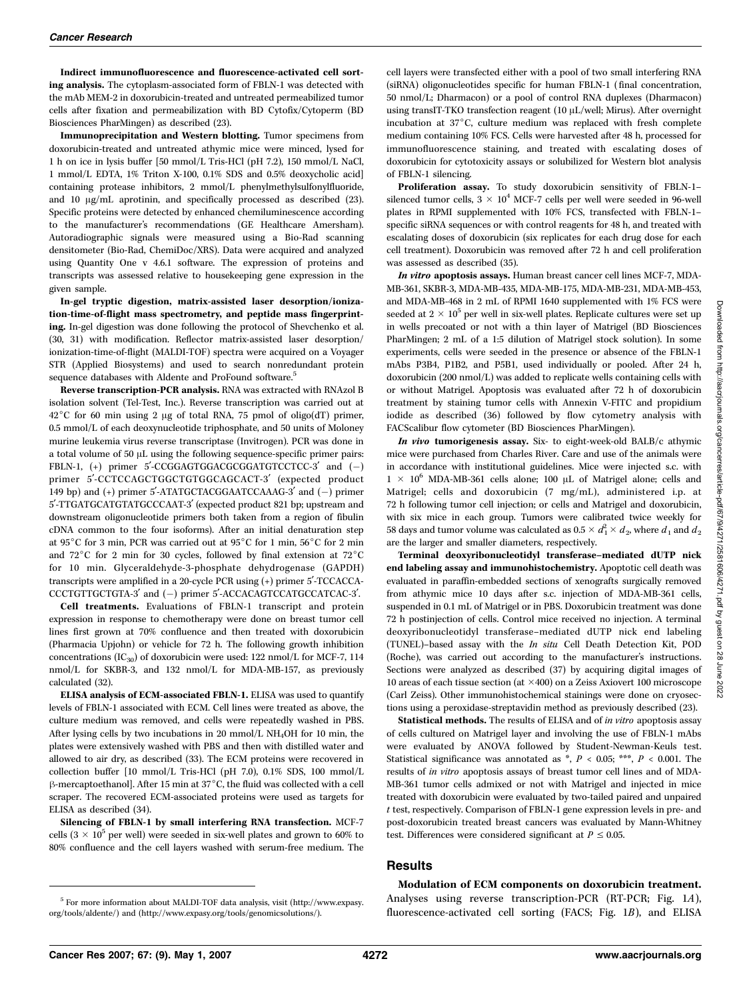Indirect immunofluorescence and fluorescence-activated cell sorting analysis. The cytoplasm-associated form of FBLN-1 was detected with the mAb MEM-2 in doxorubicin-treated and untreated permeabilized tumor cells after fixation and permeabilization with BD Cytofix/Cytoperm (BD Biosciences PharMingen) as described (23).

Immunoprecipitation and Western blotting. Tumor specimens from doxorubicin-treated and untreated athymic mice were minced, lysed for 1 h on ice in lysis buffer [50 mmol/L Tris-HCl (pH 7.2), 150 mmol/L NaCl, 1 mmol/L EDTA, 1% Triton X-100, 0.1% SDS and 0.5% deoxycholic acid] containing protease inhibitors, 2 mmol/L phenylmethylsulfonylfluoride, and 10  $\mu$ g/mL aprotinin, and specifically processed as described (23). Specific proteins were detected by enhanced chemiluminescence according to the manufacturer's recommendations (GE Healthcare Amersham). Autoradiographic signals were measured using a Bio-Rad scanning densitometer (Bio-Rad, ChemiDoc/XRS). Data were acquired and analyzed using Quantity One v 4.6.1 software. The expression of proteins and transcripts was assessed relative to housekeeping gene expression in the given sample.

In-gel tryptic digestion, matrix-assisted laser desorption/ionization-time-of-flight mass spectrometry, and peptide mass fingerprinting. In-gel digestion was done following the protocol of Shevchenko et al. (30, 31) with modification. Reflector matrix-assisted laser desorption/ ionization-time-of-flight (MALDI-TOF) spectra were acquired on a Voyager STR (Applied Biosystems) and used to search nonredundant protein sequence databases with Aldente and ProFound software.<sup>5</sup>

Reverse transcription-PCR analysis. RNA was extracted with RNAzol B isolation solvent (Tel-Test, Inc.). Reverse transcription was carried out at  $42^{\circ}$ C for 60 min using 2 µg of total RNA, 75 pmol of oligo(dT) primer, 0.5 mmol/L of each deoxynucleotide triphosphate, and 50 units of Moloney murine leukemia virus reverse transcriptase (Invitrogen). PCR was done in a total volume of 50  $\mu$ L using the following sequence-specific primer pairs: FBLN-1,  $(+)$  primer 5'-CCGGAGTGGACGCGGATGTCCTCC-3' and  $(-)$ primer 5'-CCTCCAGCTGGCTGTGGCAGCACT-3' (expected product 149 bp) and  $(+)$  primer 5'-ATATGCTACGGAATCCAAAG-3' and  $(-)$  primer 5¶-TTGATGCATGTATGCCCAAT-3¶ (expected product 821 bp; upstream and downstream oligonucleotide primers both taken from a region of fibulin cDNA common to the four isoforms). After an initial denaturation step at 95 $^{\circ}$ C for 3 min, PCR was carried out at 95 $^{\circ}$ C for 1 min, 56 $^{\circ}$ C for 2 min and  $72^{\circ}$ C for 2 min for 30 cycles, followed by final extension at  $72^{\circ}$ C for 10 min. Glyceraldehyde-3-phosphate dehydrogenase (GAPDH) transcripts were amplified in a 20-cycle PCR using (+) primer 5'-TCCACCA-CCCTGTTGCTGTA-3' and (-) primer 5'-ACCACAGTCCATGCCATCAC-3'.

Cell treatments. Evaluations of FBLN-1 transcript and protein expression in response to chemotherapy were done on breast tumor cell lines first grown at 70% confluence and then treated with doxorubicin (Pharmacia Upjohn) or vehicle for 72 h. The following growth inhibition concentrations  $(IC_{30})$  of doxorubicin were used: 122 nmol/L for MCF-7, 114 nmol/L for SKBR-3, and 132 nmol/L for MDA-MB-157, as previously calculated (32).

ELISA analysis of ECM-associated FBLN-1. ELISA was used to quantify levels of FBLN-1 associated with ECM. Cell lines were treated as above, the culture medium was removed, and cells were repeatedly washed in PBS. After lysing cells by two incubations in 20 mmol/L  $NH<sub>4</sub>OH$  for 10 min, the plates were extensively washed with PBS and then with distilled water and allowed to air dry, as described (33). The ECM proteins were recovered in collection buffer [10 mmol/L Tris-HCl (pH 7.0), 0.1% SDS, 100 mmol/L  $\beta$ -mercaptoethanol]. After 15 min at 37°C, the fluid was collected with a cell scraper. The recovered ECM-associated proteins were used as targets for ELISA as described (34).

Silencing of FBLN-1 by small interfering RNA transfection. MCF-7 cells (3  $\times$  10<sup>5</sup> per well) were seeded in six-well plates and grown to 60% to 80% confluence and the cell layers washed with serum-free medium. The

<sup>5</sup> For more information about MALDI-TOF data analysis, visit (http://www.expasy. org/tools/aldente/) and (http://www.expasy.org/tools/genomicsolutions/).

cell layers were transfected either with a pool of two small interfering RNA (siRNA) oligonucleotides specific for human FBLN-1 (final concentration, 50 nmol/L; Dharmacon) or a pool of control RNA duplexes (Dharmacon) using transIT-TKO transfection reagent  $(10 \mu L/well;$  Mirus). After overnight incubation at  $37^{\circ}$ C, culture medium was replaced with fresh complete medium containing 10% FCS. Cells were harvested after 48 h, processed for immunofluorescence staining, and treated with escalating doses of doxorubicin for cytotoxicity assays or solubilized for Western blot analysis of FBLN-1 silencing.

Proliferation assay. To study doxorubicin sensitivity of FBLN-1– silenced tumor cells,  $3 \times 10^4$  MCF-7 cells per well were seeded in 96-well plates in RPMI supplemented with 10% FCS, transfected with FBLN-1– specific siRNA sequences or with control reagents for 48 h, and treated with escalating doses of doxorubicin (six replicates for each drug dose for each cell treatment). Doxorubicin was removed after 72 h and cell proliferation was assessed as described (35).

In vitro apoptosis assays. Human breast cancer cell lines MCF-7, MDA-MB-361, SKBR-3, MDA-MB-435, MDA-MB-175, MDA-MB-231, MDA-MB-453, and MDA-MB-468 in 2 mL of RPMI 1640 supplemented with 1% FCS were seeded at 2  $\times$   $10^5$  per well in six-well plates. Replicate cultures were set up in wells precoated or not with a thin layer of Matrigel (BD Biosciences PharMingen; 2 mL of a 1:5 dilution of Matrigel stock solution). In some experiments, cells were seeded in the presence or absence of the FBLN-1 mAbs P3B4, P1B2, and P5B1, used individually or pooled. After 24 h, doxorubicin (200 nmol/L) was added to replicate wells containing cells with or without Matrigel. Apoptosis was evaluated after 72 h of doxorubicin treatment by staining tumor cells with Annexin V-FITC and propidium iodide as described (36) followed by flow cytometry analysis with FACScalibur flow cytometer (BD Biosciences PharMingen).

In vivo tumorigenesis assay. Six- to eight-week-old BALB/c athymic mice were purchased from Charles River. Care and use of the animals were in accordance with institutional guidelines. Mice were injected s.c. with  $1\ \times\ 10^6$  MDA-MB-361 cells alone; 100  $\upmu\rm L$  of Matrigel alone; cells and Matrigel; cells and doxorubicin (7 mg/mL), administered i.p. at 72 h following tumor cell injection; or cells and Matrigel and doxorubicin, with six mice in each group. Tumors were calibrated twice weekly for 58 days and tumor volume was calculated as 0.5  $\times$   $d_{1}^{2}\times$   $d_{2} ,$  where  $d_{1}$  and  $d_{2}$ are the larger and smaller diameters, respectively.

Terminal deoxyribonucleotidyl transferase–mediated dUTP nick end labeling assay and immunohistochemistry. Apoptotic cell death was evaluated in paraffin-embedded sections of xenografts surgically removed from athymic mice 10 days after s.c. injection of MDA-MB-361 cells, suspended in 0.1 mL of Matrigel or in PBS. Doxorubicin treatment was done 72 h postinjection of cells. Control mice received no injection. A terminal deoxyribonucleotidyl transferase–mediated dUTP nick end labeling (TUNEL)–based assay with the In situ Cell Death Detection Kit, POD (Roche), was carried out according to the manufacturer's instructions. Sections were analyzed as described (37) by acquiring digital images of 10 areas of each tissue section (at  $\times$ 400) on a Zeiss Axiovert 100 microscope (Carl Zeiss). Other immunohistochemical stainings were done on cryosections using a peroxidase-streptavidin method as previously described (23).

Statistical methods. The results of ELISA and of in vitro apoptosis assay of cells cultured on Matrigel layer and involving the use of FBLN-1 mAbs were evaluated by ANOVA followed by Student-Newman-Keuls test. Statistical significance was annotated as \*,  $P < 0.05$ ; \*\*\*,  $P < 0.001$ . The results of in vitro apoptosis assays of breast tumor cell lines and of MDA-MB-361 tumor cells admixed or not with Matrigel and injected in mice treated with doxorubicin were evaluated by two-tailed paired and unpaired t test, respectively. Comparison of FBLN-1 gene expression levels in pre- and post-doxorubicin treated breast cancers was evaluated by Mann-Whitney test. Differences were considered significant at  $P \le 0.05$ .

#### **Results**

Modulation of ECM components on doxorubicin treatment. Analyses using reverse transcription-PCR (RT-PCR; Fig. 1A), fluorescence-activated cell sorting (FACS; Fig. 1B), and ELISA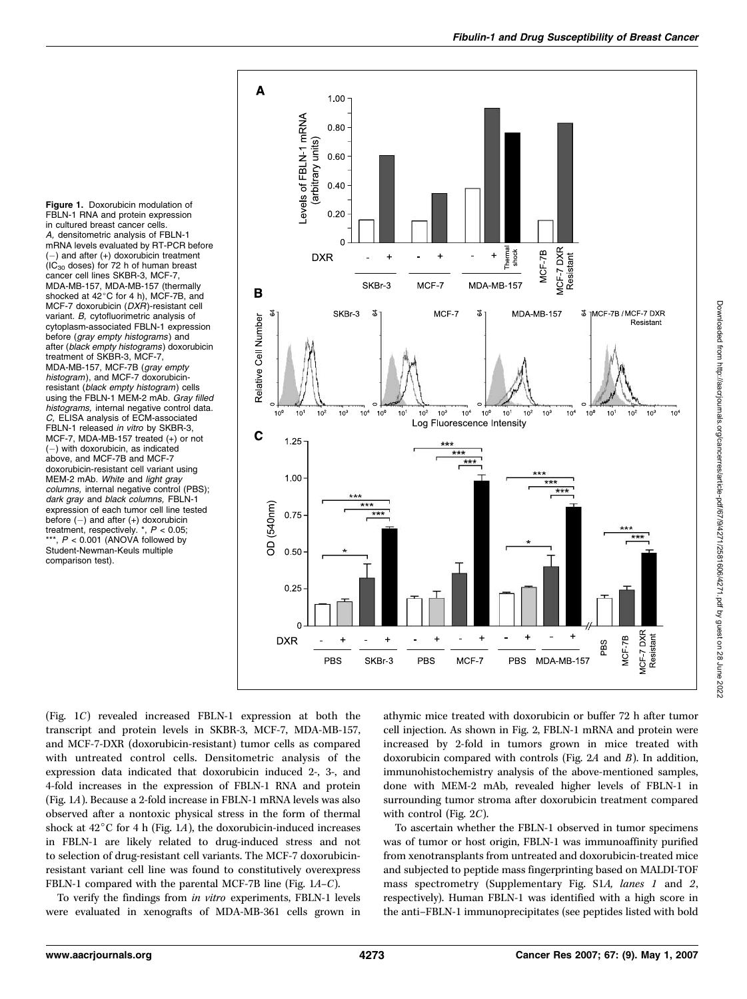Figure 1. Doxorubicin modulation of FBLN-1 RNA and protein expression in cultured breast cancer cells. A, densitometric analysis of FBLN-1 mRNA levels evaluated by RT-PCR before  $(-)$  and after  $(+)$  doxorubicin treatment  $(IC<sub>30</sub>$  doses) for 72 h of human breast cancer cell lines SKBR-3, MCF-7, MDA-MB-157, MDA-MB-157 (thermally shocked at 42°C for 4 h), MCF-7B, and MCF-7 doxorubicin  $(DXH)$ -resistant cell variant. B, cytofluorimetric analysis of cytoplasm-associated FBLN-1 expression before (gray empty histograms) and after (black empty histograms) doxorubicin treatment of SKBR-3, MCF-7, MDA-MB-157, MCF-7B (gray empty histogram), and MCF-7 doxorubicinresistant (black empty histogram) cells using the FBLN-1 MEM-2 mAb. Gray filled histograms, internal negative control data. C, ELISA analysis of ECM-associated FBLN-1 released in vitro by SKBR-3, MCF-7, MDA-MB-157 treated (+) or not  $(-)$  with doxorubicin, as indicated above, and MCF-7B and MCF-7 doxorubicin-resistant cell variant using MEM-2 mAb. White and light gray columns, internal negative control (PBS); dark gray and black columns, FBLN-1 expression of each tumor cell line tested before (-) and after (+) doxorubicin<br>treatment, respectively. \*, P < 0.05;  $P < 0.001$  (ANOVA followed by Student-Newman-Keuls multiple comparison test).



(Fig. 1C) revealed increased FBLN-1 expression at both the transcript and protein levels in SKBR-3, MCF-7, MDA-MB-157, and MCF-7-DXR (doxorubicin-resistant) tumor cells as compared with untreated control cells. Densitometric analysis of the expression data indicated that doxorubicin induced 2-, 3-, and 4-fold increases in the expression of FBLN-1 RNA and protein (Fig. 1A). Because a 2-fold increase in FBLN-1 mRNA levels was also observed after a nontoxic physical stress in the form of thermal shock at  $42^{\circ}$ C for 4 h (Fig. 1A), the doxorubicin-induced increases in FBLN-1 are likely related to drug-induced stress and not to selection of drug-resistant cell variants. The MCF-7 doxorubicinresistant variant cell line was found to constitutively overexpress FBLN-1 compared with the parental MCF-7B line (Fig. 1A–C).

To verify the findings from in vitro experiments, FBLN-1 levels were evaluated in xenografts of MDA-MB-361 cells grown in athymic mice treated with doxorubicin or buffer 72 h after tumor cell injection. As shown in Fig. 2, FBLN-1 mRNA and protein were increased by 2-fold in tumors grown in mice treated with doxorubicin compared with controls (Fig. 2A and B). In addition, immunohistochemistry analysis of the above-mentioned samples, done with MEM-2 mAb, revealed higher levels of FBLN-1 in surrounding tumor stroma after doxorubicin treatment compared with control (Fig. 2C).

To ascertain whether the FBLN-1 observed in tumor specimens was of tumor or host origin, FBLN-1 was immunoaffinity purified from xenotransplants from untreated and doxorubicin-treated mice and subjected to peptide mass fingerprinting based on MALDI-TOF mass spectrometry (Supplementary Fig. S1A, lanes 1 and 2, respectively). Human FBLN-1 was identified with a high score in the anti–FBLN-1 immunoprecipitates (see peptides listed with bold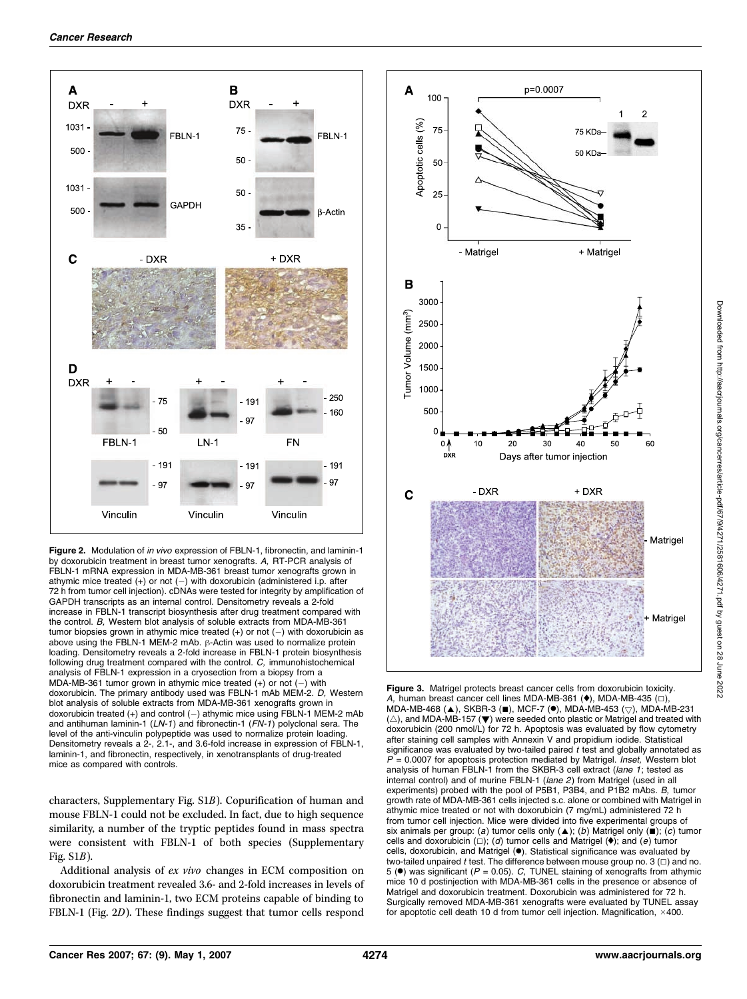

Figure 2. Modulation of in vivo expression of FBLN-1, fibronectin, and laminin-1 by doxorubicin treatment in breast tumor xenografts. A, RT-PCR analysis of FBLN-1 mRNA expression in MDA-MB-361 breast tumor xenografts grown in athymic mice treated  $(+)$  or not  $(-)$  with doxorubicin (administered i.p. after 72 h from tumor cell injection). cDNAs were tested for integrity by amplification of GAPDH transcripts as an internal control. Densitometry reveals a 2-fold increase in FBLN-1 transcript biosynthesis after drug treatment compared with the control. B, Western blot analysis of soluble extracts from MDA-MB-361 tumor biopsies grown in athymic mice treated  $(+)$  or not  $(-)$  with doxorubicin as above using the FBLN-1 MEM-2 mAb.  $\beta$ -Actin was used to normalize protein loading. Densitometry reveals a 2-fold increase in FBLN-1 protein biosynthesis following drug treatment compared with the control. C, immunohistochemical analysis of FBLN-1 expression in a cryosection from a biopsy from a MDA-MB-361 tumor grown in athymic mice treated  $(+)$  or not  $(-)$  with doxorubicin. The primary antibody used was FBLN-1 mAb MEM-2. D, Western blot analysis of soluble extracts from MDA-MB-361 xenografts grown in doxorubicin treated  $(+)$  and control  $(-)$  athymic mice using FBLN-1 MEM-2 mAb and antihuman laminin-1 (LN-1) and fibronectin-1 (FN-1) polyclonal sera. The level of the anti-vinculin polypeptide was used to normalize protein loading. Densitometry reveals a 2-, 2.1-, and 3.6-fold increase in expression of FBLN-1, laminin-1, and fibronectin, respectively, in xenotransplants of drug-treated mice as compared with controls.

characters, Supplementary Fig. S1B). Copurification of human and mouse FBLN-1 could not be excluded. In fact, due to high sequence similarity, a number of the tryptic peptides found in mass spectra were consistent with FBLN-1 of both species (Supplementary Fig. S1B).

Additional analysis of ex vivo changes in ECM composition on doxorubicin treatment revealed 3.6- and 2-fold increases in levels of fibronectin and laminin-1, two ECM proteins capable of binding to FBLN-1 (Fig. 2D). These findings suggest that tumor cells respond



Figure 3. Matrigel protects breast cancer cells from doxorubicin toxicity. A, human breast cancer cell lines MDA-MB-361  $(\bullet)$ , MDA-MB-435  $(\square)$ , MDA-MB-468 ( $\blacktriangle$ ), SKBR-3 ( $\blacksquare$ ), MCF-7 ( $\spadesuit$ ), MDA-MB-453 ( $\bigtriangledown$ ), MDA-MB-231  $(\triangle)$ , and MDA-MB-157 ( $\blacktriangledown$ ) were seeded onto plastic or Matrigel and treated with doxorubicin (200 nmol/L) for 72 h. Apoptosis was evaluated by flow cytometry after staining cell samples with Annexin V and propidium iodide. Statistical significance was evaluated by two-tailed paired  $t$  test and globally annotated as = 0.0007 for apoptosis protection mediated by Matrigel. *Inset*, Western blot analysis of human FBLN-1 from the SKBR-3 cell extract (lane 1; tested as internal control) and of murine FBLN-1 (lane 2) from Matrigel (used in all experiments) probed with the pool of P5B1, P3B4, and P1B2 mAbs. B, tumor growth rate of MDA-MB-361 cells injected s.c. alone or combined with Matrigel in athymic mice treated or not with doxorubicin (7 mg/mL) administered 72 h from tumor cell injection. Mice were divided into five experimental groups of six animals per group: (a) tumor cells only  $($   $)$ ; (b) Matrigel only  $($   $)$ ; (c) tumor cells and doxorubicin ( $\Box$ ); (d) tumor cells and Matrigel ( $\blacklozenge$ ); and (e) tumor cells, doxorubicin, and Matrigel (.). Statistical significance was evaluated by two-tailed unpaired  $t$  test. The difference between mouse group no. 3 ( $\Box$ ) and no. 5 ( $\bullet$ ) was significant ( $P = 0.05$ ). C, TUNEL staining of xenografts from athymic mice 10 d postinjection with MDA-MB-361 cells in the presence or absence of Matrigel and doxorubicin treatment. Doxorubicin was administered for 72 h. Surgically removed MDA-MB-361 xenografts were evaluated by TUNEL assay for apoptotic cell death 10 d from tumor cell injection. Magnification,  $\times$ 400.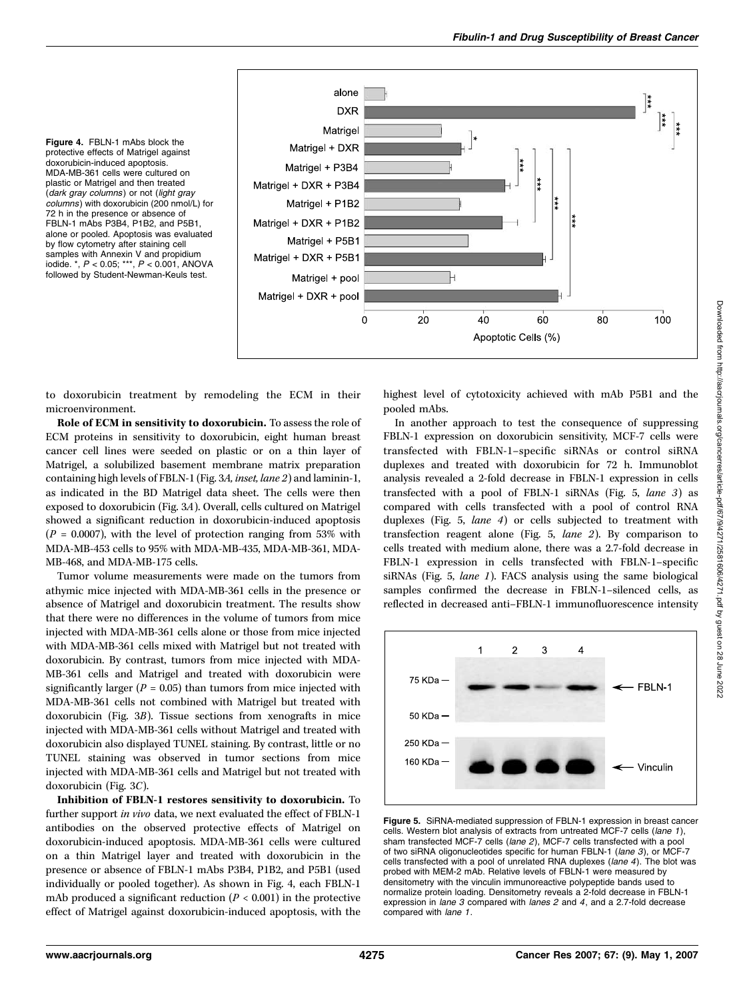

Figure 4. FBLN-1 mAbs block the protective effects of Matrigel against doxorubicin-induced apoptosis. MDA-MB-361 cells were cultured on plastic or Matrigel and then treated (dark gray columns) or not (light gray columns) with doxorubicin (200 nmol/L) for 72 h in the presence or absence of FBLN-1 mAbs P3B4, P1B2, and P5B1, alone or pooled. Apoptosis was evaluated by flow cytometry after staining cell samples with Annexin V and propidium iodide. \*, P < 0.05; \*\*\*, P < 0.001, ANOVA followed by Student-Newman-Keuls test.

to doxorubicin treatment by remodeling the ECM in their microenvironment.

Role of ECM in sensitivity to doxorubicin. To assess the role of ECM proteins in sensitivity to doxorubicin, eight human breast cancer cell lines were seeded on plastic or on a thin layer of Matrigel, a solubilized basement membrane matrix preparation containing high levels of FBLN-1 (Fig. 3A, inset, lane 2) and laminin-1, as indicated in the BD Matrigel data sheet. The cells were then exposed to doxorubicin (Fig. 3A). Overall, cells cultured on Matrigel showed a significant reduction in doxorubicin-induced apoptosis  $(P = 0.0007)$ , with the level of protection ranging from 53% with MDA-MB-453 cells to 95% with MDA-MB-435, MDA-MB-361, MDA-MB-468, and MDA-MB-175 cells.

Tumor volume measurements were made on the tumors from athymic mice injected with MDA-MB-361 cells in the presence or absence of Matrigel and doxorubicin treatment. The results show that there were no differences in the volume of tumors from mice injected with MDA-MB-361 cells alone or those from mice injected with MDA-MB-361 cells mixed with Matrigel but not treated with doxorubicin. By contrast, tumors from mice injected with MDA-MB-361 cells and Matrigel and treated with doxorubicin were significantly larger ( $P = 0.05$ ) than tumors from mice injected with MDA-MB-361 cells not combined with Matrigel but treated with doxorubicin (Fig. 3B). Tissue sections from xenografts in mice injected with MDA-MB-361 cells without Matrigel and treated with doxorubicin also displayed TUNEL staining. By contrast, little or no TUNEL staining was observed in tumor sections from mice injected with MDA-MB-361 cells and Matrigel but not treated with doxorubicin (Fig. 3C).

Inhibition of FBLN-1 restores sensitivity to doxorubicin. To further support in vivo data, we next evaluated the effect of FBLN-1 antibodies on the observed protective effects of Matrigel on doxorubicin-induced apoptosis. MDA-MB-361 cells were cultured on a thin Matrigel layer and treated with doxorubicin in the presence or absence of FBLN-1 mAbs P3B4, P1B2, and P5B1 (used individually or pooled together). As shown in Fig. 4, each FBLN-1 mAb produced a significant reduction ( $P < 0.001$ ) in the protective effect of Matrigel against doxorubicin-induced apoptosis, with the

highest level of cytotoxicity achieved with mAb P5B1 and the pooled mAbs.

In another approach to test the consequence of suppressing FBLN-1 expression on doxorubicin sensitivity, MCF-7 cells were transfected with FBLN-1–specific siRNAs or control siRNA duplexes and treated with doxorubicin for 72 h. Immunoblot analysis revealed a 2-fold decrease in FBLN-1 expression in cells transfected with a pool of FBLN-1 siRNAs (Fig. 5, lane 3) as compared with cells transfected with a pool of control RNA duplexes (Fig. 5, lane 4) or cells subjected to treatment with transfection reagent alone (Fig. 5, lane 2). By comparison to cells treated with medium alone, there was a 2.7-fold decrease in FBLN-1 expression in cells transfected with FBLN-1–specific siRNAs (Fig. 5, lane 1). FACS analysis using the same biological samples confirmed the decrease in FBLN-1–silenced cells, as reflected in decreased anti–FBLN-1 immunofluorescence intensity



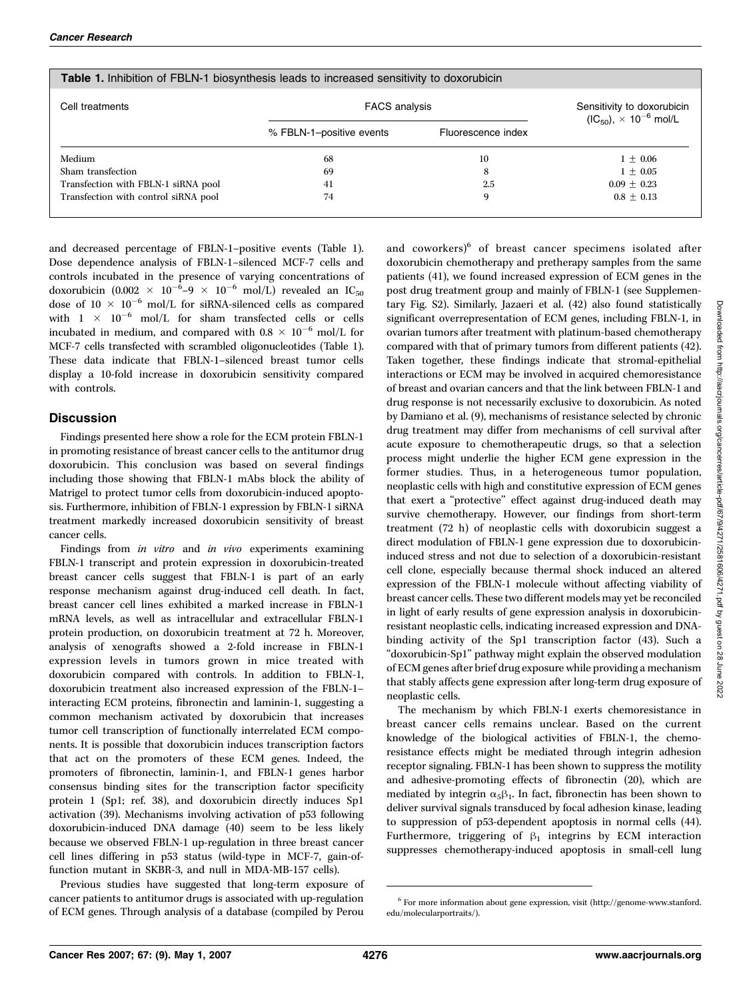| Cell treatments                      | <b>FACS analysis</b>     |                    | Sensitivity to doxorubicin<br>$(IC_{50})$ , $\times$ 10 <sup>-6</sup> mol/L |
|--------------------------------------|--------------------------|--------------------|-----------------------------------------------------------------------------|
|                                      | % FBLN-1-positive events | Fluorescence index |                                                                             |
| Medium                               | 68                       | 10                 | $1 + 0.06$                                                                  |
| Sham transfection                    | 69                       | 8                  | $1 + 0.05$                                                                  |
| Transfection with FBLN-1 siRNA pool  | 41                       | 2.5                | $0.09 + 0.23$                                                               |
| Transfection with control siRNA pool | 74                       | 9                  | $0.8 + 0.13$                                                                |

and decreased percentage of FBLN-1–positive events (Table 1). Dose dependence analysis of FBLN-1–silenced MCF-7 cells and controls incubated in the presence of varying concentrations of doxorubicin (0.002  $\times$   $10^{-6}$ –9  $\times$   $10^{-6}$  mol/L) revealed an IC<sub>50</sub> dose of 10  $\times$  10<sup>-6</sup> mol/L for siRNA-silenced cells as compared with  $1 \times 10^{-6}$  mol/L for sham transfected cells or cells incubated in medium, and compared with  $0.8 \times 10^{-6}$  mol/L for MCF-7 cells transfected with scrambled oligonucleotides (Table 1). These data indicate that FBLN-1–silenced breast tumor cells display a 10-fold increase in doxorubicin sensitivity compared with controls.

Table 1. Inhibition of FBLN-1 biosynthesis leads to increased sensitivity to doxorubicin

### **Discussion**

Findings presented here show a role for the ECM protein FBLN-1 in promoting resistance of breast cancer cells to the antitumor drug doxorubicin. This conclusion was based on several findings including those showing that FBLN-1 mAbs block the ability of Matrigel to protect tumor cells from doxorubicin-induced apoptosis. Furthermore, inhibition of FBLN-1 expression by FBLN-1 siRNA treatment markedly increased doxorubicin sensitivity of breast cancer cells.

Findings from in vitro and in vivo experiments examining FBLN-1 transcript and protein expression in doxorubicin-treated breast cancer cells suggest that FBLN-1 is part of an early response mechanism against drug-induced cell death. In fact, breast cancer cell lines exhibited a marked increase in FBLN-1 mRNA levels, as well as intracellular and extracellular FBLN-1 protein production, on doxorubicin treatment at 72 h. Moreover, analysis of xenografts showed a 2-fold increase in FBLN-1 expression levels in tumors grown in mice treated with doxorubicin compared with controls. In addition to FBLN-1, doxorubicin treatment also increased expression of the FBLN-1– interacting ECM proteins, fibronectin and laminin-1, suggesting a common mechanism activated by doxorubicin that increases tumor cell transcription of functionally interrelated ECM components. It is possible that doxorubicin induces transcription factors that act on the promoters of these ECM genes. Indeed, the promoters of fibronectin, laminin-1, and FBLN-1 genes harbor consensus binding sites for the transcription factor specificity protein 1 (Sp1; ref. 38), and doxorubicin directly induces Sp1 activation (39). Mechanisms involving activation of p53 following doxorubicin-induced DNA damage (40) seem to be less likely because we observed FBLN-1 up-regulation in three breast cancer cell lines differing in p53 status (wild-type in MCF-7, gain-offunction mutant in SKBR-3, and null in MDA-MB-157 cells).

Previous studies have suggested that long-term exposure of cancer patients to antitumor drugs is associated with up-regulation of ECM genes. Through analysis of a database (compiled by Perou

and coworkers)<sup>6</sup> of breast cancer specimens isolated after doxorubicin chemotherapy and pretherapy samples from the same patients (41), we found increased expression of ECM genes in the post drug treatment group and mainly of FBLN-1 (see Supplementary Fig. S2). Similarly, Jazaeri et al. (42) also found statistically significant overrepresentation of ECM genes, including FBLN-1, in ovarian tumors after treatment with platinum-based chemotherapy compared with that of primary tumors from different patients (42). Taken together, these findings indicate that stromal-epithelial interactions or ECM may be involved in acquired chemoresistance of breast and ovarian cancers and that the link between FBLN-1 and drug response is not necessarily exclusive to doxorubicin. As noted by Damiano et al. (9), mechanisms of resistance selected by chronic drug treatment may differ from mechanisms of cell survival after acute exposure to chemotherapeutic drugs, so that a selection process might underlie the higher ECM gene expression in the former studies. Thus, in a heterogeneous tumor population, neoplastic cells with high and constitutive expression of ECM genes that exert a "protective" effect against drug-induced death may survive chemotherapy. However, our findings from short-term treatment (72 h) of neoplastic cells with doxorubicin suggest a direct modulation of FBLN-1 gene expression due to doxorubicininduced stress and not due to selection of a doxorubicin-resistant cell clone, especially because thermal shock induced an altered expression of the FBLN-1 molecule without affecting viability of breast cancer cells. These two different models may yet be reconciled in light of early results of gene expression analysis in doxorubicinresistant neoplastic cells, indicating increased expression and DNAbinding activity of the Sp1 transcription factor (43). Such a ''doxorubicin-Sp1'' pathway might explain the observed modulation of ECM genes after brief drug exposure while providing a mechanism that stably affects gene expression after long-term drug exposure of neoplastic cells.

The mechanism by which FBLN-1 exerts chemoresistance in breast cancer cells remains unclear. Based on the current knowledge of the biological activities of FBLN-1, the chemoresistance effects might be mediated through integrin adhesion receptor signaling. FBLN-1 has been shown to suppress the motility and adhesive-promoting effects of fibronectin (20), which are mediated by integrin  $\alpha_5\beta_1$ . In fact, fibronectin has been shown to deliver survival signals transduced by focal adhesion kinase, leading to suppression of p53-dependent apoptosis in normal cells (44). Furthermore, triggering of  $\beta_1$  integrins by ECM interaction suppresses chemotherapy-induced apoptosis in small-cell lung

<sup>6</sup> For more information about gene expression, visit (http://genome-www.stanford. edu/molecularportraits/).